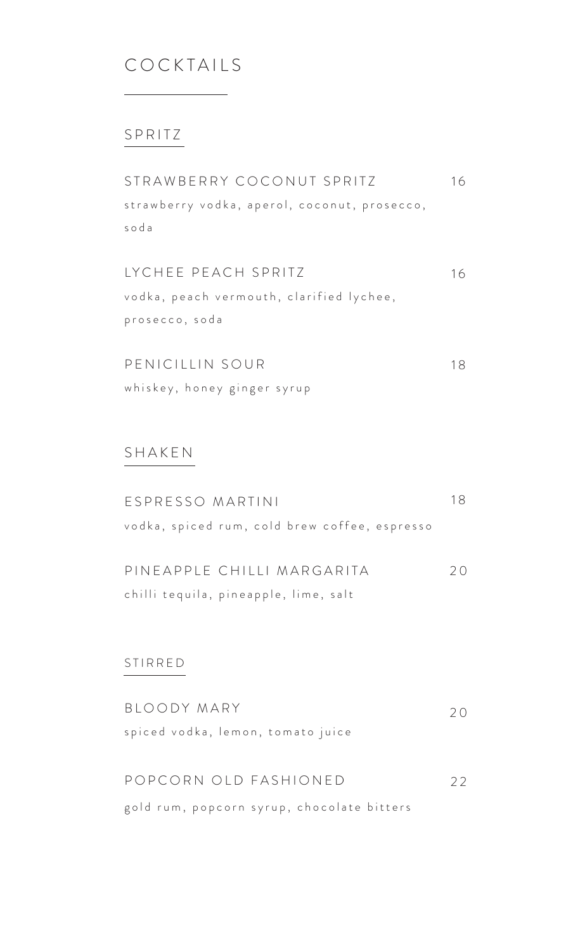## COCKTAILS

#### SPRITZ

| STRAWBERRY COCONUT SPRITZ                    | 16 |
|----------------------------------------------|----|
| strawberry vodka, aperol, coconut, prosecco, |    |
| soda                                         |    |
|                                              |    |

LYCHEE PEACH SPRITZ vodka, peach vermouth, clarified lychee, prosecco, soda 1 6

PENICILLIN SOUR whiskey, honey ginger syrup 1 8

#### SHAKEN

| ESPRESSO MARTINI                              | 18 |
|-----------------------------------------------|----|
| vodka, spiced rum, cold brew coffee, espresso |    |

| PINEAPPLE CHILLI MARGARITA            | 20 |
|---------------------------------------|----|
| chilli tequila, pineapple, lime, salt |    |

#### STIRRED

| BLOODY MARY                                | $\prime$ ( ) |
|--------------------------------------------|--------------|
| spiced vodka, lemon, tomato juice          |              |
|                                            |              |
| POPCORN OID FASHIONED                      | 22           |
| gold rum, popcorn syrup, chocolate bitters |              |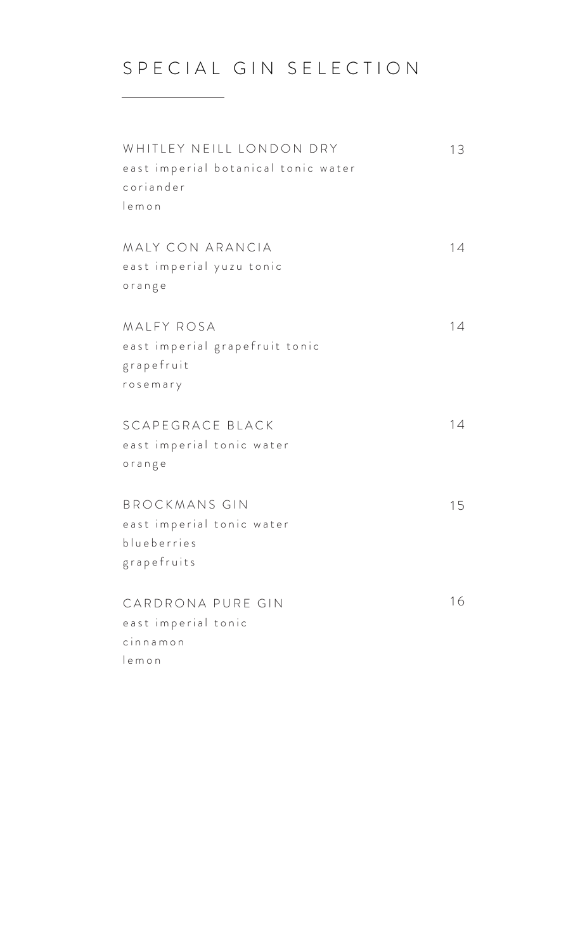# S P E C I A L G I N S E L E C T I O N

| WHITLEY NEILL LONDON DRY<br>east imperial botanical tonic water<br>coriander<br>lemon | 13 |
|---------------------------------------------------------------------------------------|----|
| MALY CON ARANCIA<br>east imperial yuzu tonic<br>orange                                | 14 |
| MALFY ROSA<br>east imperial grapefruit tonic<br>grapefruit<br>rosemary                | 14 |
| SCAPEGRACE BLACK<br>east imperial tonic water<br>orange                               | 14 |
| <b>BROCKMANS GIN</b><br>east imperial tonic water<br>blueberries<br>grapefruits       | 15 |
| CARDRONA PURE GIN<br>east imperial tonic<br>cinnamon<br>lemon                         | 16 |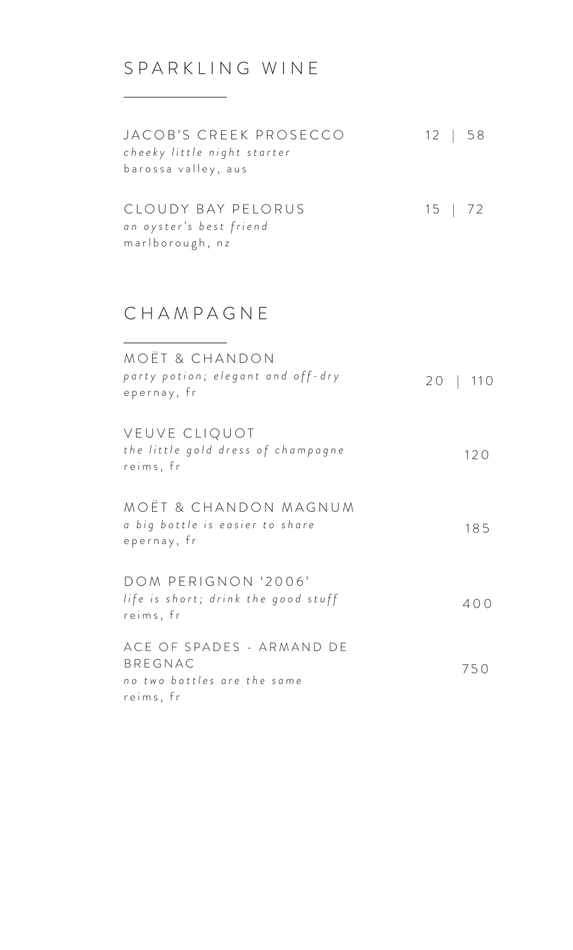# SPARKLING WINE

| JACOB'S CREEK PROSECCO<br>cheeky little night starter<br>barossa valley, aus | 12   58          |
|------------------------------------------------------------------------------|------------------|
| CLOUDY BAY PELORUS<br>an oyster's best friend<br>marlborough, nz             | $15 \mid 72$     |
| CHAMPAGNE                                                                    |                  |
| MOËT & CHANDON<br>party potion; elegant and off-dry<br>epernay, fr           | $20 \mid$<br>110 |
| VEUVE CLIQUOT<br>the little gold dress of champagne<br>reims, fr             | 120              |

 1 8 5 MOËT & CHANDON MAGNUM *a big bottle is easier to share* epernay, fr

| DOM PERIGNON '2006'                              |     |
|--------------------------------------------------|-----|
| life is short; drink the good stuff<br>reims, fr | 400 |
|                                                  |     |

| ACE OF SPADES - ARMAND DE   |     |
|-----------------------------|-----|
| BRFGNAC                     | 750 |
| no two bottles are the same |     |
| reims, fr                   |     |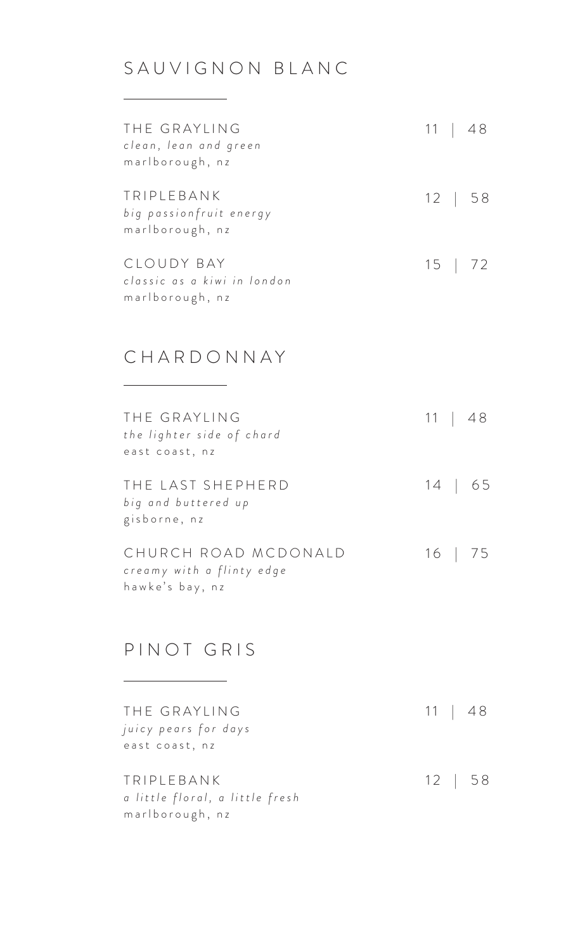## SAUVIGNON BLANC

| THE GRAYLING<br>clean, lean and green<br>marlborough, nz     |  | 11   48 |
|--------------------------------------------------------------|--|---------|
| TRIPLEBANK<br>big passionfruit energy<br>marlborough, nz     |  | 12   58 |
| CLOUDY BAY<br>classic as a kiwi in london<br>marlborough, nz |  | 15   72 |

### CHARDONNAY

| THE GRAYLING<br>the lighter side of chard<br>east coast, nz          | 11   48 |
|----------------------------------------------------------------------|---------|
| THE LAST SHEPHERD<br>big and buttered up<br>gisborne, nz             | 14   65 |
| CHURCH ROAD MCDONALD<br>creamy with a flinty edge<br>hawke's bay, nz | 16   75 |

### PINOT GRIS

| THE GRAYLING                    |  | 11   48      |
|---------------------------------|--|--------------|
| juicy pears for days            |  |              |
| east coast, nz                  |  |              |
|                                 |  |              |
| TRIPLEBANK                      |  | $12 \mid 58$ |
| a little floral, a little fresh |  |              |
| marlborough, nz                 |  |              |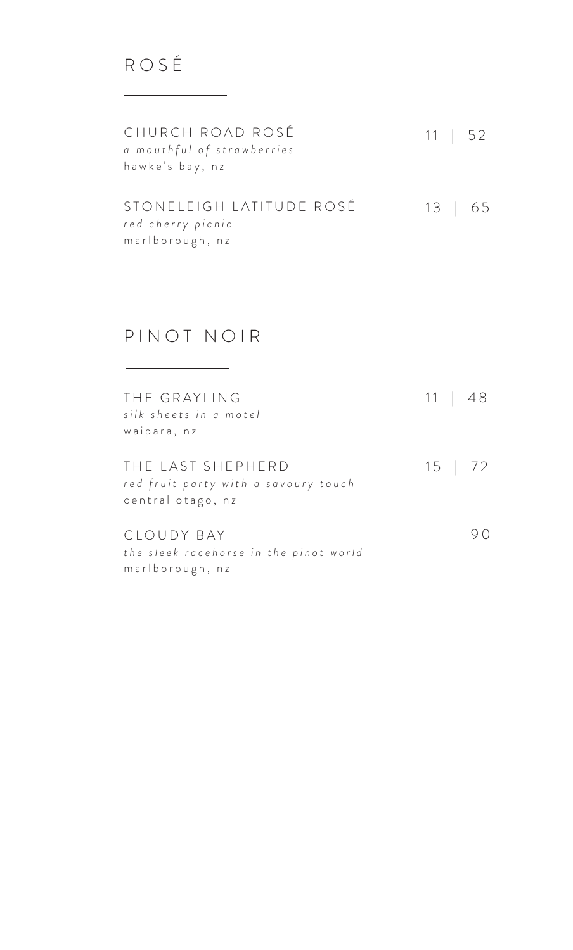11 | 52 13 | 65 STONELEIGH LATITUDE ROSÉ CHURCH ROAD ROSÉ *a mouthful of strawberries* hawke's bay, nz *r e d c h e r r y p i c n i c*  marlborough, nz

#### PINOT NOIR

| THE GRAYLING<br>silk sheets in a motel<br>waipara, nz                          |  | 11   48 |
|--------------------------------------------------------------------------------|--|---------|
| THE LAST SHEPHERD<br>red fruit party with a savoury touch<br>central otago, nz |  | 15   72 |
| CLOUDY BAY<br>the sleek racehorse in the pinot world<br>marlborough, nz        |  |         |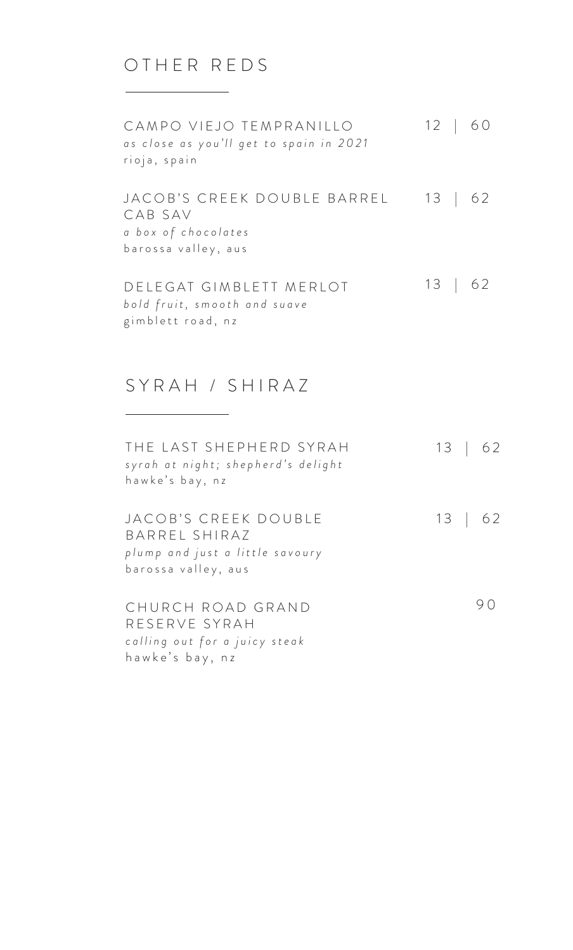### OTHER REDS

CAMPO VIEJO TEMPRANILLO *as close as you'll get to spain in 2021* rioja, spain JACOB'S CREEK DOUBLE BARREL 13 | 62 CAB SAV 12 | 60

*a b o x o f c h o c o l a t e s*  barossa valley, aus

DELEGAT GIMBLETT MERLOT 13 | 62 *bold fruit, smooth and suave* gimblett road, nz

#### SYRAH / SHIRAZ

| THE LAST SHEPHERD SYRAH<br>syrah at night; shepherd's delight<br>hawke's bay, nz                | $13 \mid 62$ |
|-------------------------------------------------------------------------------------------------|--------------|
| JACOB'S CREEK DOUBLE<br>BARREL SHIRAZ<br>plump and just a little savoury<br>barossa valley, aus | 13   62      |
| CHURCH ROAD GRAND<br>RESERVE SYRAH<br>calling out for a juicy steak<br>hawke's bay, nz          |              |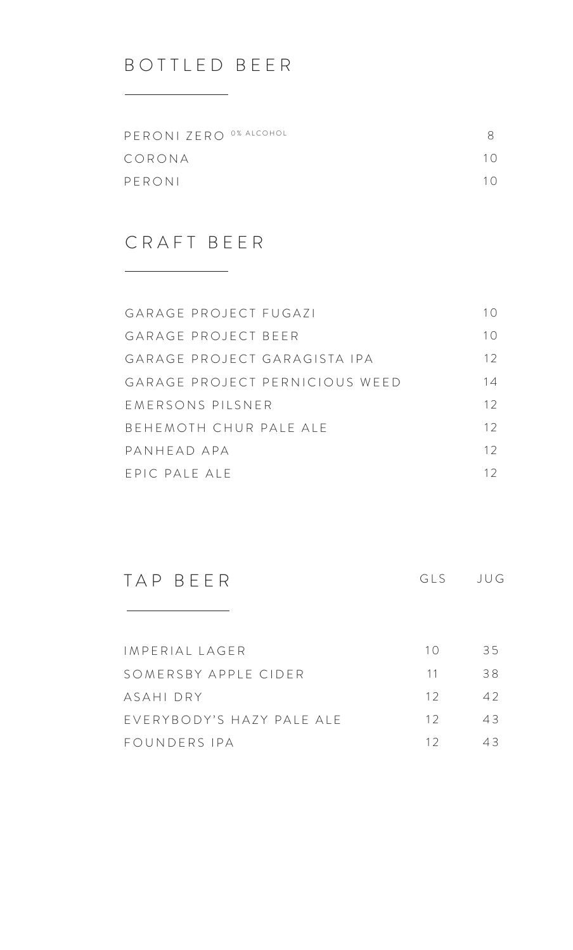## BOTTLED BEER

| PERONI ZERO 0% ALCOHOL |            |
|------------------------|------------|
| CORONA                 | $1 \Omega$ |
| PERONI                 | $1 \Omega$ |

### CRAFT BEER

| GARAGE PROJECT FUGAZI          | 1()             |
|--------------------------------|-----------------|
| GARAGE PROJECT BEER            | 10              |
| GARAGE PROJECT GARAGISTA IPA   | 12 <sup>°</sup> |
| GARAGE PROJECT PERNICIOUS WEED | 14              |
| FMFRSONS PILSNER               | 12 <sup>°</sup> |
| BEHEMOTH CHUR PAIF AIF         | 12 <sup>°</sup> |
| PANHFAD APA                    | 12 <sup>°</sup> |
| FPIC PAIF AIF                  | 12              |

TAP BEER

the control of the control of the control of

GLS JUG

| IMPERIAL LAGER            | 1() | 35  |
|---------------------------|-----|-----|
| SOMERSBY APPLE CIDER      | 11  | 38. |
| ASAHI DRY                 | 12  | 42  |
| EVERYBODY'S HAZY PALE ALE | 12  | 43  |
| FOUNDERS IPA              | 12. | 43. |